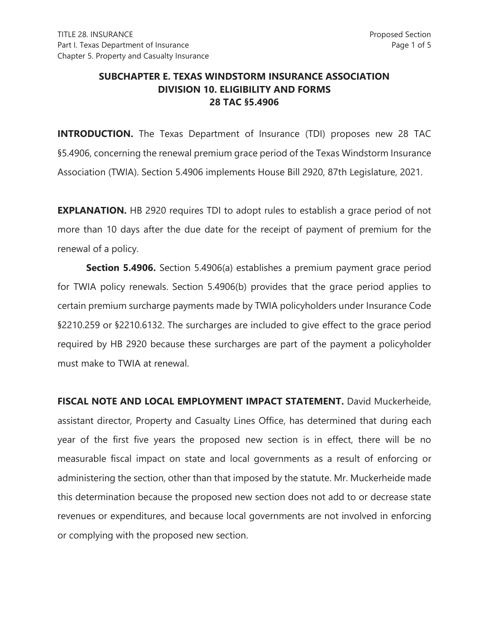## **SUBCHAPTER E. TEXAS WINDSTORM INSURANCE ASSOCIATION DIVISION 10. ELIGIBILITY AND FORMS 28 TAC §5.4906**

**INTRODUCTION.** The Texas Department of Insurance (TDI) proposes new 28 TAC §5.4906, concerning the renewal premium grace period of the Texas Windstorm Insurance Association (TWIA). Section 5.4906 implements House Bill 2920, 87th Legislature, 2021.

**EXPLANATION.** HB 2920 requires TDI to adopt rules to establish a grace period of not more than 10 days after the due date for the receipt of payment of premium for the renewal of a policy.

**Section 5.4906.** Section 5.4906(a) establishes a premium payment grace period for TWIA policy renewals. Section 5.4906(b) provides that the grace period applies to certain premium surcharge payments made by TWIA policyholders under Insurance Code §2210.259 or §2210.6132. The surcharges are included to give effect to the grace period required by HB 2920 because these surcharges are part of the payment a policyholder must make to TWIA at renewal.

**FISCAL NOTE AND LOCAL EMPLOYMENT IMPACT STATEMENT.** David Muckerheide, assistant director, Property and Casualty Lines Office, has determined that during each year of the first five years the proposed new section is in effect, there will be no measurable fiscal impact on state and local governments as a result of enforcing or administering the section, other than that imposed by the statute. Mr. Muckerheide made this determination because the proposed new section does not add to or decrease state revenues or expenditures, and because local governments are not involved in enforcing or complying with the proposed new section.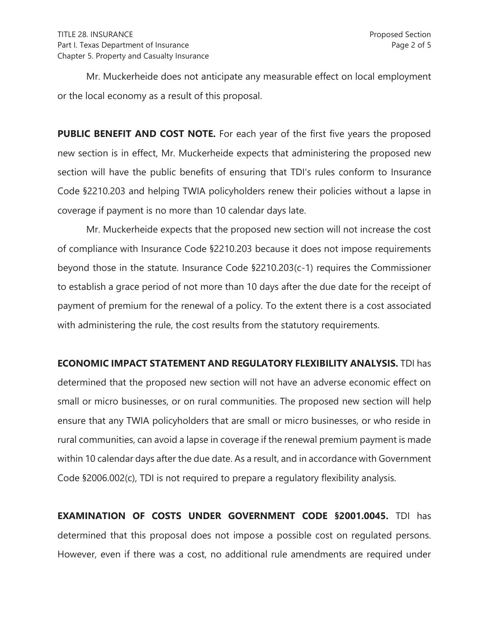Mr. Muckerheide does not anticipate any measurable effect on local employment or the local economy as a result of this proposal.

**PUBLIC BENEFIT AND COST NOTE.** For each year of the first five years the proposed new section is in effect, Mr. Muckerheide expects that administering the proposed new section will have the public benefits of ensuring that TDI's rules conform to Insurance Code §2210.203 and helping TWIA policyholders renew their policies without a lapse in coverage if payment is no more than 10 calendar days late.

Mr. Muckerheide expects that the proposed new section will not increase the cost of compliance with Insurance Code §2210.203 because it does not impose requirements beyond those in the statute. Insurance Code §2210.203(c-1) requires the Commissioner to establish a grace period of not more than 10 days after the due date for the receipt of payment of premium for the renewal of a policy. To the extent there is a cost associated with administering the rule, the cost results from the statutory requirements.

**ECONOMIC IMPACT STATEMENT AND REGULATORY FLEXIBILITY ANALYSIS.** TDI has

determined that the proposed new section will not have an adverse economic effect on small or micro businesses, or on rural communities. The proposed new section will help ensure that any TWIA policyholders that are small or micro businesses, or who reside in rural communities, can avoid a lapse in coverage if the renewal premium payment is made within 10 calendar days after the due date. As a result, and in accordance with Government Code §2006.002(c), TDI is not required to prepare a regulatory flexibility analysis.

**EXAMINATION OF COSTS UNDER GOVERNMENT CODE §2001.0045.** TDI has determined that this proposal does not impose a possible cost on regulated persons. However, even if there was a cost, no additional rule amendments are required under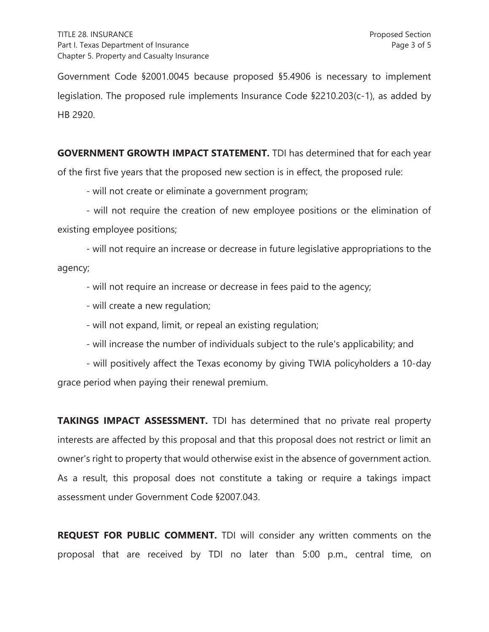Government Code §2001.0045 because proposed §5.4906 is necessary to implement legislation. The proposed rule implements Insurance Code §2210.203(c-1), as added by HB 2920.

**GOVERNMENT GROWTH IMPACT STATEMENT.** TDI has determined that for each year of the first five years that the proposed new section is in effect, the proposed rule:

- will not create or eliminate a government program;

- will not require the creation of new employee positions or the elimination of existing employee positions;

- will not require an increase or decrease in future legislative appropriations to the agency;

- will not require an increase or decrease in fees paid to the agency;

- will create a new regulation;

- will not expand, limit, or repeal an existing regulation;

- will increase the number of individuals subject to the rule's applicability; and

- will positively affect the Texas economy by giving TWIA policyholders a 10-day grace period when paying their renewal premium.

**TAKINGS IMPACT ASSESSMENT.** TDI has determined that no private real property interests are affected by this proposal and that this proposal does not restrict or limit an owner's right to property that would otherwise exist in the absence of government action. As a result, this proposal does not constitute a taking or require a takings impact assessment under Government Code §2007.043.

**REQUEST FOR PUBLIC COMMENT.** TDI will consider any written comments on the proposal that are received by TDI no later than 5:00 p.m., central time, on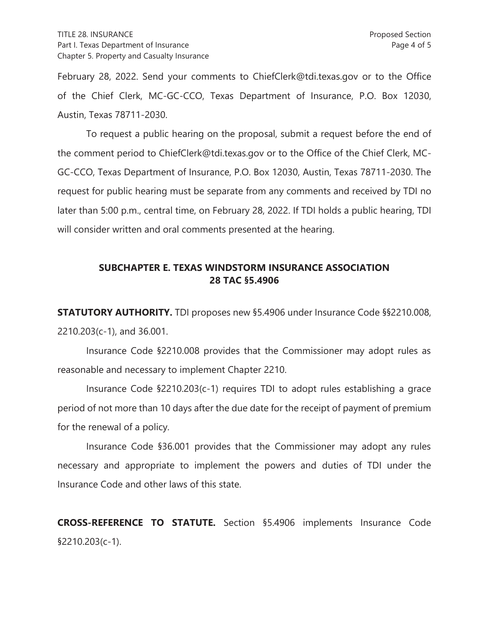February 28, 2022. Send your comments to ChiefClerk@tdi.texas.gov or to the Office of the Chief Clerk, MC-GC-CCO, Texas Department of Insurance, P.O. Box 12030, Austin, Texas 78711-2030.

To request a public hearing on the proposal, submit a request before the end of the comment period to ChiefClerk@tdi.texas.gov or to the Office of the Chief Clerk, MC-GC-CCO, Texas Department of Insurance, P.O. Box 12030, Austin, Texas 78711-2030. The request for public hearing must be separate from any comments and received by TDI no later than 5:00 p.m., central time, on February 28, 2022. If TDI holds a public hearing, TDI will consider written and oral comments presented at the hearing.

## **SUBCHAPTER E. TEXAS WINDSTORM INSURANCE ASSOCIATION 28 TAC §5.4906**

**STATUTORY AUTHORITY.** TDI proposes new §5.4906 under Insurance Code §§2210.008, 2210.203(c-1), and 36.001.

 Insurance Code §2210.008 provides that the Commissioner may adopt rules as reasonable and necessary to implement Chapter 2210.

Insurance Code §2210.203(c-1) requires TDI to adopt rules establishing a grace period of not more than 10 days after the due date for the receipt of payment of premium for the renewal of a policy.

 Insurance Code §36.001 provides that the Commissioner may adopt any rules necessary and appropriate to implement the powers and duties of TDI under the Insurance Code and other laws of this state.

**CROSS-REFERENCE TO STATUTE.** Section §5.4906 implements Insurance Code §2210.203(c-1).